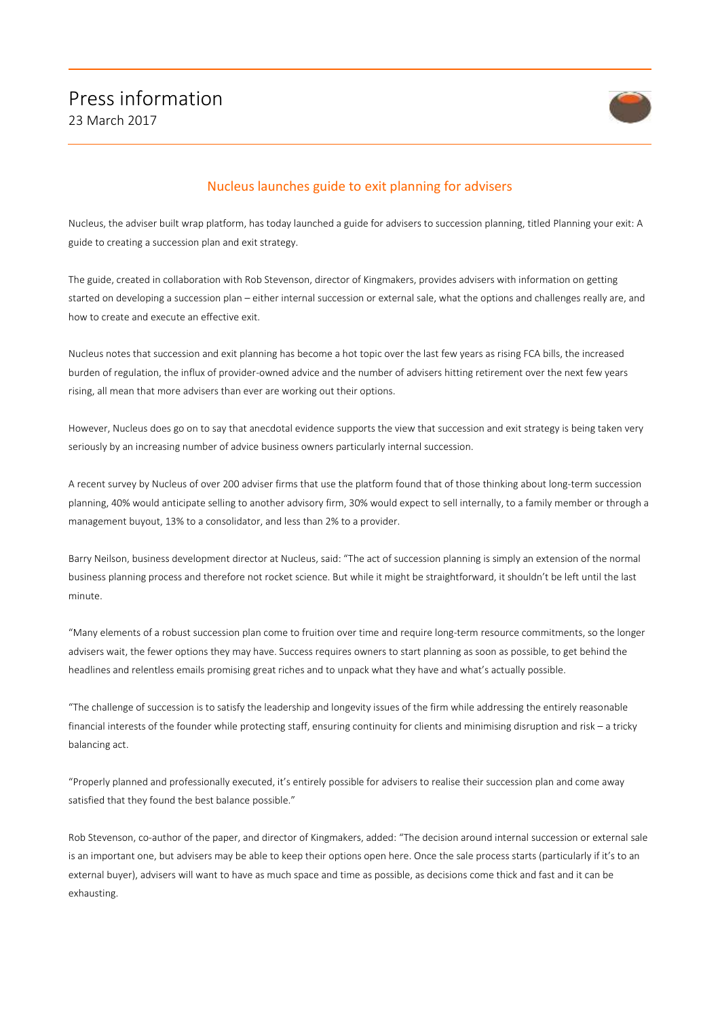

## Nucleus launches guide to exit planning for advisers

Nucleus, the adviser built wrap platform, has today launched a guide for advisers to succession planning, titled Planning your exit: A guide to creating a succession plan and exit strategy.

The guide, created in collaboration with Rob Stevenson, director of Kingmakers, provides advisers with information on getting started on developing a succession plan – either internal succession or external sale, what the options and challenges really are, and how to create and execute an effective exit.

Nucleus notes that succession and exit planning has become a hot topic over the last few years as rising FCA bills, the increased burden of regulation, the influx of provider-owned advice and the number of advisers hitting retirement over the next few years rising, all mean that more advisers than ever are working out their options.

However, Nucleus does go on to say that anecdotal evidence supports the view that succession and exit strategy is being taken very seriously by an increasing number of advice business owners particularly internal succession.

A recent survey by Nucleus of over 200 adviser firms that use the platform found that of those thinking about long-term succession planning, 40% would anticipate selling to another advisory firm, 30% would expect to sell internally, to a family member or through a management buyout, 13% to a consolidator, and less than 2% to a provider.

Barry Neilson, business development director at Nucleus, said: "The act of succession planning is simply an extension of the normal business planning process and therefore not rocket science. But while it might be straightforward, it shouldn't be left until the last minute.

"Many elements of a robust succession plan come to fruition over time and require long-term resource commitments, so the longer advisers wait, the fewer options they may have. Success requires owners to start planning as soon as possible, to get behind the headlines and relentless emails promising great riches and to unpack what they have and what's actually possible.

"The challenge of succession is to satisfy the leadership and longevity issues of the firm while addressing the entirely reasonable financial interests of the founder while protecting staff, ensuring continuity for clients and minimising disruption and risk – a tricky balancing act.

"Properly planned and professionally executed, it's entirely possible for advisers to realise their succession plan and come away satisfied that they found the best balance possible."

Rob Stevenson, co-author of the paper, and director of Kingmakers, added: "The decision around internal succession or external sale is an important one, but advisers may be able to keep their options open here. Once the sale process starts (particularly if it's to an external buyer), advisers will want to have as much space and time as possible, as decisions come thick and fast and it can be exhausting.